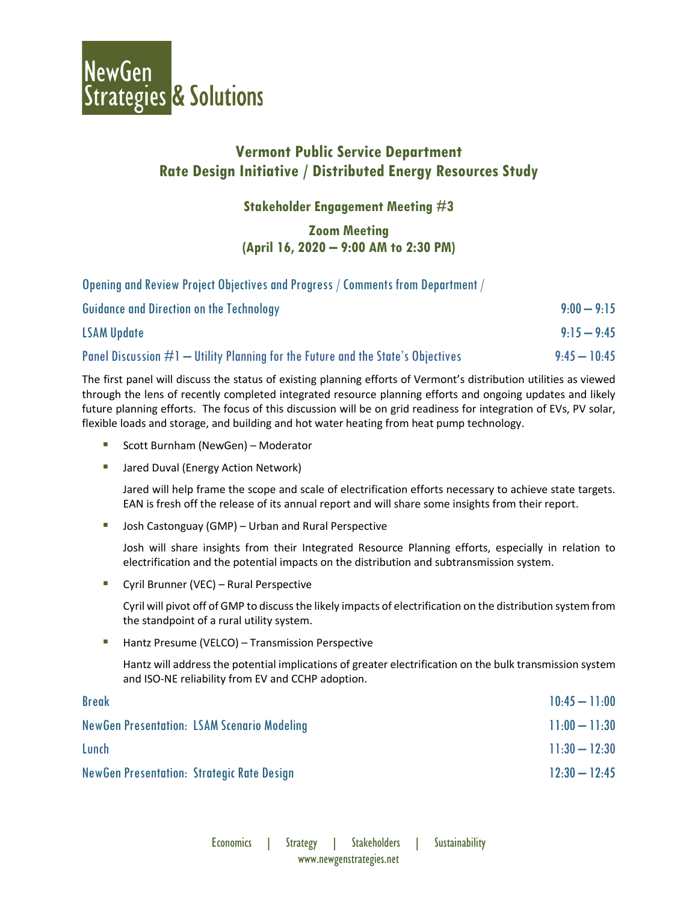

# **Vermont Public Service Department Rate Design Initiative / Distributed Energy Resources Study**

**Stakeholder Engagement Meeting #3**

## **Zoom Meeting (April 16, 2020 – 9:00 AM to 2:30 PM)**

Opening and Review Project Objectives and Progress / Comments from Department /

| <b>Guidance and Direction on the Technology</b>                                    | $9:00 - 9:15$  |
|------------------------------------------------------------------------------------|----------------|
| <b>LSAM Update</b>                                                                 | $9:15-9:45$    |
| Panel Discussion $#1$ — Utility Planning for the Future and the State's Objectives | $9:45 - 10:45$ |

The first panel will discuss the status of existing planning efforts of Vermont's distribution utilities as viewed through the lens of recently completed integrated resource planning efforts and ongoing updates and likely future planning efforts. The focus of this discussion will be on grid readiness for integration of EVs, PV solar, flexible loads and storage, and building and hot water heating from heat pump technology.

- Scott Burnham (NewGen) Moderator
- Jared Duval (Energy Action Network)

Jared will help frame the scope and scale of electrification efforts necessary to achieve state targets. EAN is fresh off the release of its annual report and will share some insights from their report.

■ Josh Castonguay (GMP) – Urban and Rural Perspective

Josh will share insights from their Integrated Resource Planning efforts, especially in relation to electrification and the potential impacts on the distribution and subtransmission system.

**E** Cyril Brunner (VEC) – Rural Perspective

Cyril will pivot off of GMP to discuss the likely impacts of electrification on the distribution system from the standpoint of a rural utility system.

■ Hantz Presume (VELCO) – Transmission Perspective

Hantz will address the potential implications of greater electrification on the bulk transmission system and ISO-NE reliability from EV and CCHP adoption.

| <b>Break</b>                                       | $10:45 - 11:00$ |
|----------------------------------------------------|-----------------|
| <b>NewGen Presentation: LSAM Scenario Modeling</b> | $11:00 - 11:30$ |
| Lunch                                              | $11:30 - 12:30$ |
| <b>NewGen Presentation: Strategic Rate Design</b>  | $12:30 - 12:45$ |